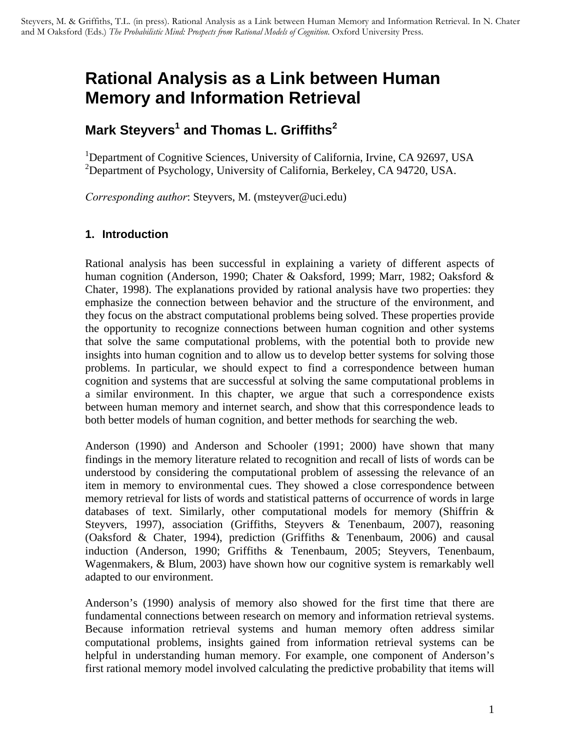# **Rational Analysis as a Link between Human Memory and Information Retrieval**

## **Mark Steyvers<sup>1</sup> and Thomas L. Griffiths<sup>2</sup>**

<sup>1</sup>Department of Cognitive Sciences, University of California, Irvine, CA 92697, USA <sup>2</sup>Department of Psychology, University of California, Berkeley, CA 94720, USA.

*Corresponding author*: Steyvers, M. (msteyver@uci.edu)

### **1. Introduction**

Rational analysis has been successful in explaining a variety of different aspects of human cognition (Anderson, 1990; Chater & Oaksford, 1999; Marr, 1982; Oaksford & Chater, 1998). The explanations provided by rational analysis have two properties: they emphasize the connection between behavior and the structure of the environment, and they focus on the abstract computational problems being solved. These properties provide the opportunity to recognize connections between human cognition and other systems that solve the same computational problems, with the potential both to provide new insights into human cognition and to allow us to develop better systems for solving those problems. In particular, we should expect to find a correspondence between human cognition and systems that are successful at solving the same computational problems in a similar environment. In this chapter, we argue that such a correspondence exists between human memory and internet search, and show that this correspondence leads to both better models of human cognition, and better methods for searching the web.

Anderson (1990) and Anderson and Schooler (1991; 2000) have shown that many findings in the memory literature related to recognition and recall of lists of words can be understood by considering the computational problem of assessing the relevance of an item in memory to environmental cues. They showed a close correspondence between memory retrieval for lists of words and statistical patterns of occurrence of words in large databases of text. Similarly, other computational models for memory (Shiffrin  $\&$ Steyvers, 1997), association (Griffiths, Steyvers & Tenenbaum, 2007), reasoning (Oaksford & Chater, 1994), prediction (Griffiths & Tenenbaum, 2006) and causal induction (Anderson, 1990; Griffiths & Tenenbaum, 2005; Steyvers, Tenenbaum, Wagenmakers, & Blum, 2003) have shown how our cognitive system is remarkably well adapted to our environment.

Anderson's (1990) analysis of memory also showed for the first time that there are fundamental connections between research on memory and information retrieval systems. Because information retrieval systems and human memory often address similar computational problems, insights gained from information retrieval systems can be helpful in understanding human memory. For example, one component of Anderson's first rational memory model involved calculating the predictive probability that items will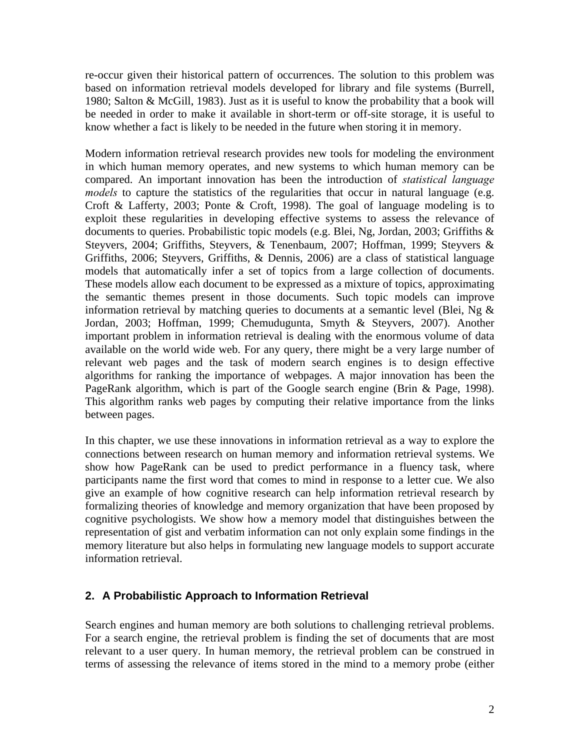re-occur given their historical pattern of occurrences. The solution to this problem was based on information retrieval models developed for library and file systems (Burrell, 1980; Salton & McGill, 1983). Just as it is useful to know the probability that a book will be needed in order to make it available in short-term or off-site storage, it is useful to know whether a fact is likely to be needed in the future when storing it in memory.

Modern information retrieval research provides new tools for modeling the environment in which human memory operates, and new systems to which human memory can be compared. An important innovation has been the introduction of *statistical language models* to capture the statistics of the regularities that occur in natural language (e.g. Croft & Lafferty, 2003; Ponte & Croft, 1998). The goal of language modeling is to exploit these regularities in developing effective systems to assess the relevance of documents to queries. Probabilistic topic models (e.g. Blei, Ng, Jordan, 2003; Griffiths & Steyvers, 2004; Griffiths, Steyvers, & Tenenbaum, 2007; Hoffman, 1999; Steyvers & Griffiths, 2006; Steyvers, Griffiths, & Dennis, 2006) are a class of statistical language models that automatically infer a set of topics from a large collection of documents. These models allow each document to be expressed as a mixture of topics, approximating the semantic themes present in those documents. Such topic models can improve information retrieval by matching queries to documents at a semantic level (Blei, Ng  $\&$ Jordan, 2003; Hoffman, 1999; Chemudugunta, Smyth & Steyvers, 2007). Another important problem in information retrieval is dealing with the enormous volume of data available on the world wide web. For any query, there might be a very large number of relevant web pages and the task of modern search engines is to design effective algorithms for ranking the importance of webpages. A major innovation has been the PageRank algorithm, which is part of the Google search engine (Brin & Page, 1998). This algorithm ranks web pages by computing their relative importance from the links between pages.

In this chapter, we use these innovations in information retrieval as a way to explore the connections between research on human memory and information retrieval systems. We show how PageRank can be used to predict performance in a fluency task, where participants name the first word that comes to mind in response to a letter cue. We also give an example of how cognitive research can help information retrieval research by formalizing theories of knowledge and memory organization that have been proposed by cognitive psychologists. We show how a memory model that distinguishes between the representation of gist and verbatim information can not only explain some findings in the memory literature but also helps in formulating new language models to support accurate information retrieval.

#### **2. A Probabilistic Approach to Information Retrieval**

Search engines and human memory are both solutions to challenging retrieval problems. For a search engine, the retrieval problem is finding the set of documents that are most relevant to a user query. In human memory, the retrieval problem can be construed in terms of assessing the relevance of items stored in the mind to a memory probe (either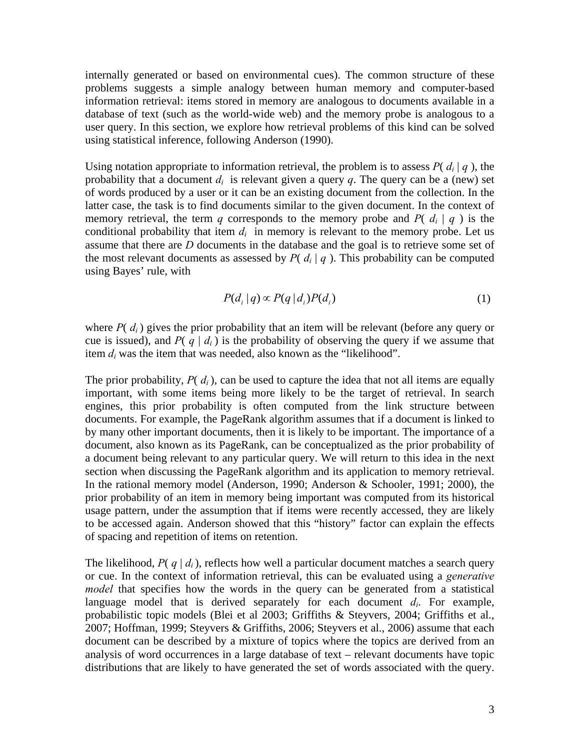internally generated or based on environmental cues). The common structure of these problems suggests a simple analogy between human memory and computer-based information retrieval: items stored in memory are analogous to documents available in a database of text (such as the world-wide web) and the memory probe is analogous to a user query. In this section, we explore how retrieval problems of this kind can be solved using statistical inference, following Anderson (1990).

Using notation appropriate to information retrieval, the problem is to assess  $P(d_i | q)$ , the probability that a document  $d_i$  is relevant given a query  $q$ . The query can be a (new) set of words produced by a user or it can be an existing document from the collection. In the latter case, the task is to find documents similar to the given document. In the context of memory retrieval, the term *q* corresponds to the memory probe and  $P(d_i | q)$  is the conditional probability that item  $d_i$  in memory is relevant to the memory probe. Let us assume that there are *D* documents in the database and the goal is to retrieve some set of the most relevant documents as assessed by  $P(d_i | q)$ . This probability can be computed using Bayes' rule, with

$$
P(d_i | q) \propto P(q | d_i) P(d_i)
$$
 (1)

where  $P(d_i)$  gives the prior probability that an item will be relevant (before any query or cue is issued), and  $P(q | d_i)$  is the probability of observing the query if we assume that item  $d_i$  was the item that was needed, also known as the "likelihood".

The prior probability,  $P(d_i)$ , can be used to capture the idea that not all items are equally important, with some items being more likely to be the target of retrieval. In search engines, this prior probability is often computed from the link structure between documents. For example, the PageRank algorithm assumes that if a document is linked to by many other important documents, then it is likely to be important. The importance of a document, also known as its PageRank, can be conceptualized as the prior probability of a document being relevant to any particular query. We will return to this idea in the next section when discussing the PageRank algorithm and its application to memory retrieval. In the rational memory model (Anderson, 1990; Anderson & Schooler, 1991; 2000), the prior probability of an item in memory being important was computed from its historical usage pattern, under the assumption that if items were recently accessed, they are likely to be accessed again. Anderson showed that this "history" factor can explain the effects of spacing and repetition of items on retention.

The likelihood,  $P(q | d_i)$ , reflects how well a particular document matches a search query or cue. In the context of information retrieval, this can be evaluated using a *generative model* that specifies how the words in the query can be generated from a statistical language model that is derived separately for each document  $d_i$ . For example, probabilistic topic models (Blei et al 2003; Griffiths & Steyvers, 2004; Griffiths et al., 2007; Hoffman, 1999; Steyvers & Griffiths, 2006; Steyvers et al., 2006) assume that each document can be described by a mixture of topics where the topics are derived from an analysis of word occurrences in a large database of text – relevant documents have topic distributions that are likely to have generated the set of words associated with the query.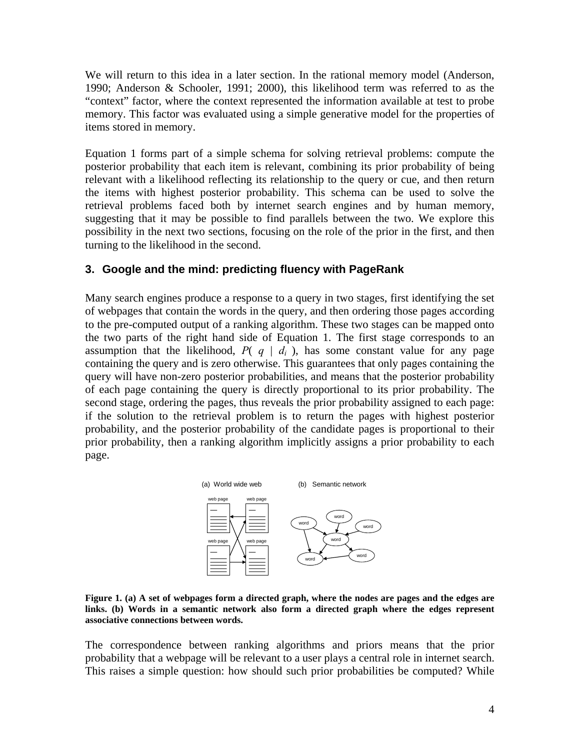We will return to this idea in a later section. In the rational memory model (Anderson, 1990; Anderson & Schooler, 1991; 2000), this likelihood term was referred to as the "context" factor, where the context represented the information available at test to probe memory. This factor was evaluated using a simple generative model for the properties of items stored in memory.

Equation 1 forms part of a simple schema for solving retrieval problems: compute the posterior probability that each item is relevant, combining its prior probability of being relevant with a likelihood reflecting its relationship to the query or cue, and then return the items with highest posterior probability. This schema can be used to solve the retrieval problems faced both by internet search engines and by human memory, suggesting that it may be possible to find parallels between the two. We explore this possibility in the next two sections, focusing on the role of the prior in the first, and then turning to the likelihood in the second.

#### **3. Google and the mind: predicting fluency with PageRank**

Many search engines produce a response to a query in two stages, first identifying the set of webpages that contain the words in the query, and then ordering those pages according to the pre-computed output of a ranking algorithm. These two stages can be mapped onto the two parts of the right hand side of Equation 1. The first stage corresponds to an assumption that the likelihood,  $P(q | d_i)$ , has some constant value for any page containing the query and is zero otherwise. This guarantees that only pages containing the query will have non-zero posterior probabilities, and means that the posterior probability of each page containing the query is directly proportional to its prior probability. The second stage, ordering the pages, thus reveals the prior probability assigned to each page: if the solution to the retrieval problem is to return the pages with highest posterior probability, and the posterior probability of the candidate pages is proportional to their prior probability, then a ranking algorithm implicitly assigns a prior probability to each page.



**Figure 1. (a) A set of webpages form a directed graph, where the nodes are pages and the edges are links. (b) Words in a semantic network also form a directed graph where the edges represent associative connections between words.** 

The correspondence between ranking algorithms and priors means that the prior probability that a webpage will be relevant to a user plays a central role in internet search. This raises a simple question: how should such prior probabilities be computed? While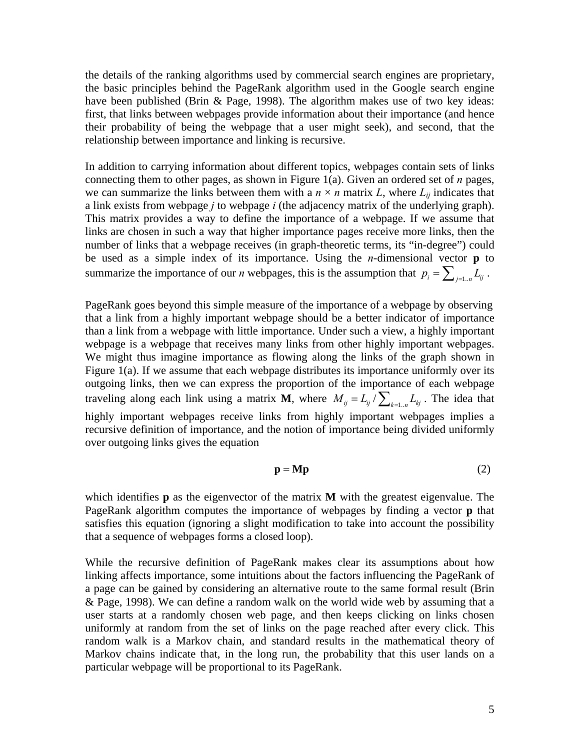the details of the ranking algorithms used by commercial search engines are proprietary, the basic principles behind the PageRank algorithm used in the Google search engine have been published (Brin & Page, 1998). The algorithm makes use of two key ideas: first, that links between webpages provide information about their importance (and hence their probability of being the webpage that a user might seek), and second, that the relationship between importance and linking is recursive.

In addition to carrying information about different topics, webpages contain sets of links connecting them to other pages, as shown in Figure 1(a). Given an ordered set of *n* pages, we can summarize the links between them with a  $n \times n$  matrix *L*, where  $L_{ij}$  indicates that a link exists from webpage *j* to webpage *i* (the adjacency matrix of the underlying graph). This matrix provides a way to define the importance of a webpage. If we assume that links are chosen in such a way that higher importance pages receive more links, then the number of links that a webpage receives (in graph-theoretic terms, its "in-degree") could be used as a simple index of its importance. Using the *n*-dimensional vector **p** to summarize the importance of our *n* webpages, this is the assumption that  $p_i = \sum_{j=1...n} L_{ij}$ .

PageRank goes beyond this simple measure of the importance of a webpage by observing that a link from a highly important webpage should be a better indicator of importance than a link from a webpage with little importance. Under such a view, a highly important webpage is a webpage that receives many links from other highly important webpages. We might thus imagine importance as flowing along the links of the graph shown in Figure 1(a). If we assume that each webpage distributes its importance uniformly over its outgoing links, then we can express the proportion of the importance of each webpage traveling along each link using a matrix **M**, where  $M_{ij} = L_{ij}/\sum_{k=1...n} L_{kj}$ . The idea that highly important webpages receive links from highly important webpages implies a recursive definition of importance, and the notion of importance being divided uniformly over outgoing links gives the equation

$$
p = Mp \tag{2}
$$

which identifies **p** as the eigenvector of the matrix **M** with the greatest eigenvalue. The PageRank algorithm computes the importance of webpages by finding a vector **p** that satisfies this equation (ignoring a slight modification to take into account the possibility that a sequence of webpages forms a closed loop).

While the recursive definition of PageRank makes clear its assumptions about how linking affects importance, some intuitions about the factors influencing the PageRank of a page can be gained by considering an alternative route to the same formal result (Brin & Page, 1998). We can define a random walk on the world wide web by assuming that a user starts at a randomly chosen web page, and then keeps clicking on links chosen uniformly at random from the set of links on the page reached after every click. This random walk is a Markov chain, and standard results in the mathematical theory of Markov chains indicate that, in the long run, the probability that this user lands on a particular webpage will be proportional to its PageRank.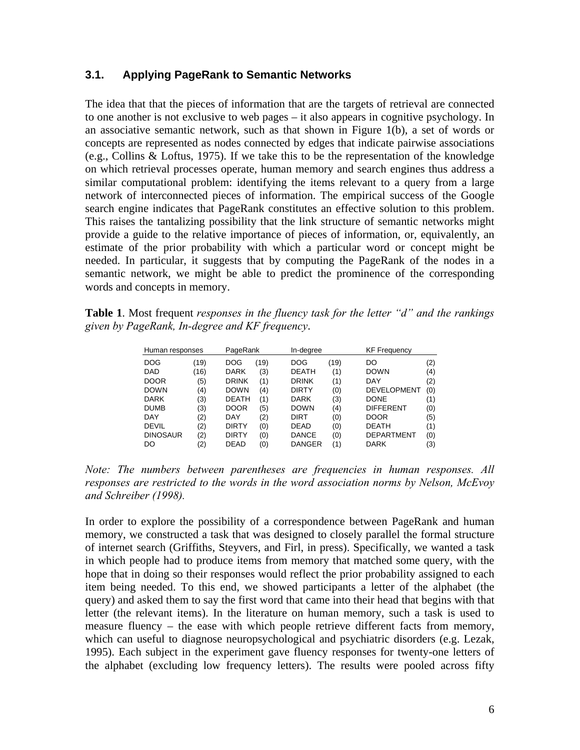#### **3.1. Applying PageRank to Semantic Networks**

The idea that that the pieces of information that are the targets of retrieval are connected to one another is not exclusive to web pages – it also appears in cognitive psychology. In an associative semantic network, such as that shown in Figure 1(b), a set of words or concepts are represented as nodes connected by edges that indicate pairwise associations (e.g., Collins & Loftus, 1975). If we take this to be the representation of the knowledge on which retrieval processes operate, human memory and search engines thus address a similar computational problem: identifying the items relevant to a query from a large network of interconnected pieces of information. The empirical success of the Google search engine indicates that PageRank constitutes an effective solution to this problem. This raises the tantalizing possibility that the link structure of semantic networks might provide a guide to the relative importance of pieces of information, or, equivalently, an estimate of the prior probability with which a particular word or concept might be needed. In particular, it suggests that by computing the PageRank of the nodes in a semantic network, we might be able to predict the prominence of the corresponding words and concepts in memory.

**Table 1**. Most frequent *responses in the fluency task for the letter "d" and the rankings given by PageRank, In-degree and KF frequency*.

| Human responses |      | PageRank     |      | In-degree     |      | <b>KF Frequency</b> |     |  |
|-----------------|------|--------------|------|---------------|------|---------------------|-----|--|
| <b>DOG</b>      | (19) | <b>DOG</b>   | (19) | <b>DOG</b>    | (19) | DO                  | (2) |  |
| DAD             | (16) | <b>DARK</b>  | (3)  | <b>DEATH</b>  | (1)  | <b>DOWN</b>         | (4) |  |
| <b>DOOR</b>     | (5)  | <b>DRINK</b> | (1)  | <b>DRINK</b>  | (1)  | DAY                 | (2) |  |
| <b>DOWN</b>     | (4)  | <b>DOWN</b>  | (4)  | <b>DIRTY</b>  | (0)  | <b>DEVELOPMENT</b>  | (0) |  |
| <b>DARK</b>     | (3)  | <b>DEATH</b> | (1)  | <b>DARK</b>   | (3)  | <b>DONE</b>         | (1) |  |
| <b>DUMB</b>     | (3)  | <b>DOOR</b>  | (5)  | <b>DOWN</b>   | (4)  | <b>DIFFERENT</b>    | (0) |  |
| DAY             | (2)  | DAY          | (2)  | <b>DIRT</b>   | (0)  | <b>DOOR</b>         | (5) |  |
| <b>DEVIL</b>    | (2)  | <b>DIRTY</b> | (0)  | <b>DEAD</b>   | (0)  | <b>DEATH</b>        | (1) |  |
| <b>DINOSAUR</b> | (2)  | <b>DIRTY</b> | (0)  | <b>DANCE</b>  | (0)  | <b>DEPARTMENT</b>   | (0) |  |
| DO              | 2)   | DEAD         | (0)  | <b>DANGER</b> | (1)  | <b>DARK</b>         | (3) |  |

*Note: The numbers between parentheses are frequencies in human responses. All responses are restricted to the words in the word association norms by Nelson, McEvoy and Schreiber (1998).* 

In order to explore the possibility of a correspondence between PageRank and human memory, we constructed a task that was designed to closely parallel the formal structure of internet search (Griffiths, Steyvers, and Firl, in press). Specifically, we wanted a task in which people had to produce items from memory that matched some query, with the hope that in doing so their responses would reflect the prior probability assigned to each item being needed. To this end, we showed participants a letter of the alphabet (the query) and asked them to say the first word that came into their head that begins with that letter (the relevant items). In the literature on human memory, such a task is used to measure fluency – the ease with which people retrieve different facts from memory, which can useful to diagnose neuropsychological and psychiatric disorders (e.g. Lezak, 1995). Each subject in the experiment gave fluency responses for twenty-one letters of the alphabet (excluding low frequency letters). The results were pooled across fifty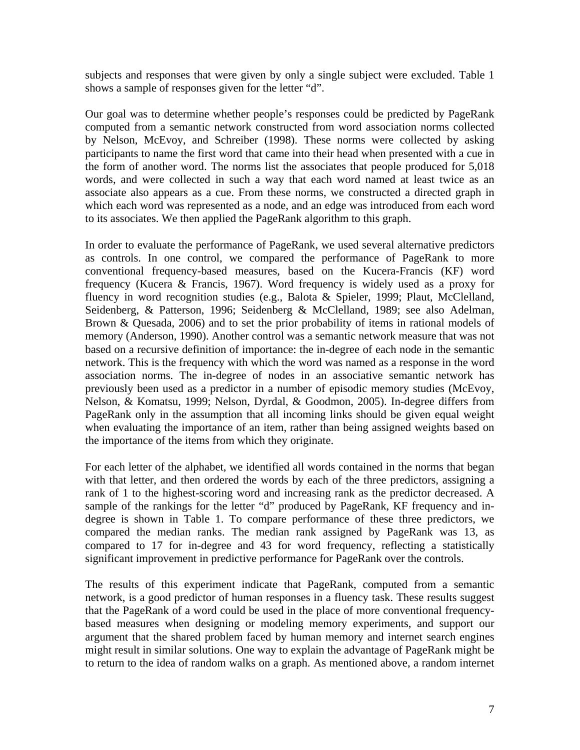subjects and responses that were given by only a single subject were excluded. Table 1 shows a sample of responses given for the letter "d".

Our goal was to determine whether people's responses could be predicted by PageRank computed from a semantic network constructed from word association norms collected by Nelson, McEvoy, and Schreiber (1998). These norms were collected by asking participants to name the first word that came into their head when presented with a cue in the form of another word. The norms list the associates that people produced for 5,018 words, and were collected in such a way that each word named at least twice as an associate also appears as a cue. From these norms, we constructed a directed graph in which each word was represented as a node, and an edge was introduced from each word to its associates. We then applied the PageRank algorithm to this graph.

In order to evaluate the performance of PageRank, we used several alternative predictors as controls. In one control, we compared the performance of PageRank to more conventional frequency-based measures, based on the Kucera-Francis (KF) word frequency (Kucera & Francis, 1967). Word frequency is widely used as a proxy for fluency in word recognition studies (e.g., Balota & Spieler, 1999; Plaut, McClelland, Seidenberg, & Patterson, 1996; Seidenberg & McClelland, 1989; see also Adelman, Brown & Quesada, 2006) and to set the prior probability of items in rational models of memory (Anderson, 1990). Another control was a semantic network measure that was not based on a recursive definition of importance: the in-degree of each node in the semantic network. This is the frequency with which the word was named as a response in the word association norms. The in-degree of nodes in an associative semantic network has previously been used as a predictor in a number of episodic memory studies (McEvoy, Nelson, & Komatsu, 1999; Nelson, Dyrdal, & Goodmon, 2005). In-degree differs from PageRank only in the assumption that all incoming links should be given equal weight when evaluating the importance of an item, rather than being assigned weights based on the importance of the items from which they originate.

For each letter of the alphabet, we identified all words contained in the norms that began with that letter, and then ordered the words by each of the three predictors, assigning a rank of 1 to the highest-scoring word and increasing rank as the predictor decreased. A sample of the rankings for the letter "d" produced by PageRank, KF frequency and indegree is shown in Table 1. To compare performance of these three predictors, we compared the median ranks. The median rank assigned by PageRank was 13, as compared to 17 for in-degree and 43 for word frequency, reflecting a statistically significant improvement in predictive performance for PageRank over the controls.

The results of this experiment indicate that PageRank, computed from a semantic network, is a good predictor of human responses in a fluency task. These results suggest that the PageRank of a word could be used in the place of more conventional frequencybased measures when designing or modeling memory experiments, and support our argument that the shared problem faced by human memory and internet search engines might result in similar solutions. One way to explain the advantage of PageRank might be to return to the idea of random walks on a graph. As mentioned above, a random internet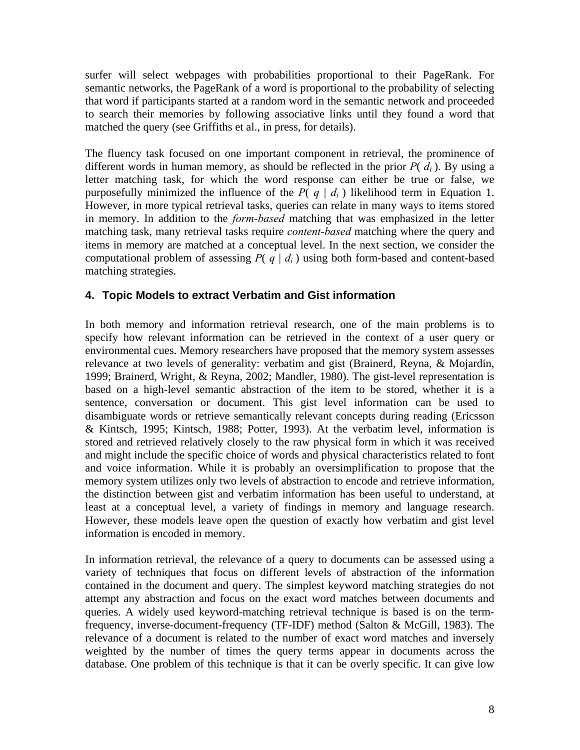surfer will select webpages with probabilities proportional to their PageRank. For semantic networks, the PageRank of a word is proportional to the probability of selecting that word if participants started at a random word in the semantic network and proceeded to search their memories by following associative links until they found a word that matched the query (see Griffiths et al., in press, for details).

The fluency task focused on one important component in retrieval, the prominence of different words in human memory, as should be reflected in the prior  $P(d_i)$ . By using a letter matching task, for which the word response can either be true or false, we purposefully minimized the influence of the  $P(q | d_i)$  likelihood term in Equation 1. However, in more typical retrieval tasks, queries can relate in many ways to items stored in memory. In addition to the *form-based* matching that was emphasized in the letter matching task, many retrieval tasks require *content-based* matching where the query and items in memory are matched at a conceptual level. In the next section, we consider the computational problem of assessing  $P(q | d_i)$  using both form-based and content-based matching strategies.

#### **4. Topic Models to extract Verbatim and Gist information**

In both memory and information retrieval research, one of the main problems is to specify how relevant information can be retrieved in the context of a user query or environmental cues. Memory researchers have proposed that the memory system assesses relevance at two levels of generality: verbatim and gist (Brainerd, Reyna, & Mojardin, 1999; Brainerd, Wright, & Reyna, 2002; Mandler, 1980). The gist-level representation is based on a high-level semantic abstraction of the item to be stored, whether it is a sentence, conversation or document. This gist level information can be used to disambiguate words or retrieve semantically relevant concepts during reading (Ericsson & Kintsch, 1995; Kintsch, 1988; Potter, 1993). At the verbatim level, information is stored and retrieved relatively closely to the raw physical form in which it was received and might include the specific choice of words and physical characteristics related to font and voice information. While it is probably an oversimplification to propose that the memory system utilizes only two levels of abstraction to encode and retrieve information, the distinction between gist and verbatim information has been useful to understand, at least at a conceptual level, a variety of findings in memory and language research. However, these models leave open the question of exactly how verbatim and gist level information is encoded in memory.

In information retrieval, the relevance of a query to documents can be assessed using a variety of techniques that focus on different levels of abstraction of the information contained in the document and query. The simplest keyword matching strategies do not attempt any abstraction and focus on the exact word matches between documents and queries. A widely used keyword-matching retrieval technique is based is on the termfrequency, inverse-document-frequency (TF-IDF) method (Salton & McGill, 1983). The relevance of a document is related to the number of exact word matches and inversely weighted by the number of times the query terms appear in documents across the database. One problem of this technique is that it can be overly specific. It can give low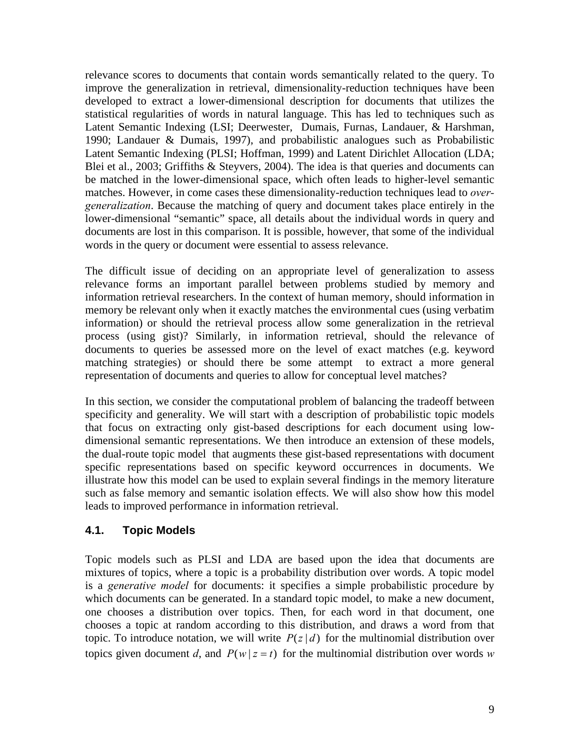relevance scores to documents that contain words semantically related to the query. To improve the generalization in retrieval, dimensionality-reduction techniques have been developed to extract a lower-dimensional description for documents that utilizes the statistical regularities of words in natural language. This has led to techniques such as Latent Semantic Indexing (LSI; Deerwester, Dumais, Furnas, Landauer, & Harshman, 1990; Landauer & Dumais, 1997), and probabilistic analogues such as Probabilistic Latent Semantic Indexing (PLSI; Hoffman, 1999) and Latent Dirichlet Allocation (LDA; Blei et al., 2003; Griffiths & Steyvers, 2004). The idea is that queries and documents can be matched in the lower-dimensional space, which often leads to higher-level semantic matches. However, in come cases these dimensionality-reduction techniques lead to *overgeneralization*. Because the matching of query and document takes place entirely in the lower-dimensional "semantic" space, all details about the individual words in query and documents are lost in this comparison. It is possible, however, that some of the individual words in the query or document were essential to assess relevance.

The difficult issue of deciding on an appropriate level of generalization to assess relevance forms an important parallel between problems studied by memory and information retrieval researchers. In the context of human memory, should information in memory be relevant only when it exactly matches the environmental cues (using verbatim information) or should the retrieval process allow some generalization in the retrieval process (using gist)? Similarly, in information retrieval, should the relevance of documents to queries be assessed more on the level of exact matches (e.g. keyword matching strategies) or should there be some attempt to extract a more general representation of documents and queries to allow for conceptual level matches?

In this section, we consider the computational problem of balancing the tradeoff between specificity and generality. We will start with a description of probabilistic topic models that focus on extracting only gist-based descriptions for each document using lowdimensional semantic representations. We then introduce an extension of these models, the dual-route topic model that augments these gist-based representations with document specific representations based on specific keyword occurrences in documents. We illustrate how this model can be used to explain several findings in the memory literature such as false memory and semantic isolation effects. We will also show how this model leads to improved performance in information retrieval.

#### **4.1. Topic Models**

Topic models such as PLSI and LDA are based upon the idea that documents are mixtures of topics, where a topic is a probability distribution over words. A topic model is a *generative model* for documents: it specifies a simple probabilistic procedure by which documents can be generated. In a standard topic model, to make a new document, one chooses a distribution over topics. Then, for each word in that document, one chooses a topic at random according to this distribution, and draws a word from that topic. To introduce notation, we will write  $P(z | d)$  for the multinomial distribution over topics given document *d*, and  $P(w | z = t)$  for the multinomial distribution over words *w*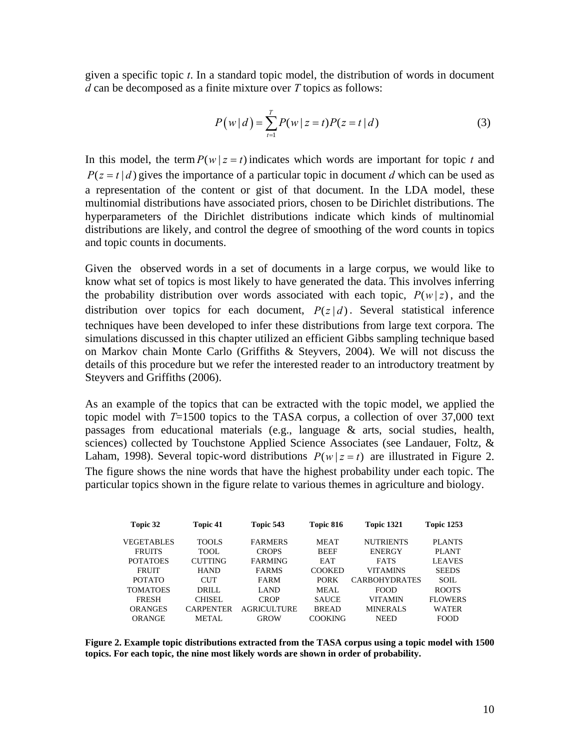given a specific topic *t*. In a standard topic model, the distribution of words in document *d* can be decomposed as a finite mixture over *T* topics as follows:

$$
P(w|d) = \sum_{t=1}^{T} P(w|z=t)P(z=t|d)
$$
 (3)

 $P(z = t | d)$  gives the importance of a particular topic in document *d* which can be used as In this model, the term  $P(w | z = t)$  indicates which words are important for topic *t* and a representation of the content or gist of that document. In the LDA model, these multinomial distributions have associated priors, chosen to be Dirichlet distributions. The hyperparameters of the Dirichlet distributions indicate which kinds of multinomial distributions are likely, and control the degree of smoothing of the word counts in topics and topic counts in documents.

Given the observed words in a set of documents in a large corpus, we would like to know what set of topics is most likely to have generated the data. This involves inferring the probability distribution over words associated with each topic,  $P(w|z)$ , and the distribution over topics for each document,  $P(z|d)$ . Several statistical inference techniques have been developed to infer these distributions from large text corpora. The simulations discussed in this chapter utilized an efficient Gibbs sampling technique based on Markov chain Monte Carlo (Griffiths & Steyvers, 2004). We will not discuss the details of this procedure but we refer the interested reader to an introductory treatment by Steyvers and Griffiths (2006).

As an example of the topics that can be extracted with the topic model, we applied the topic model with *T*=1500 topics to the TASA corpus, a collection of over 37,000 text passages from educational materials (e.g., language & arts, social studies, health, sciences) collected by Touchstone Applied Science Associates (see Landauer, Foltz, & Laham, 1998). Several topic-word distributions  $P(w | z = t)$  are illustrated in Figure 2. The figure shows the nine words that have the highest probability under each topic. The particular topics shown in the figure relate to various themes in agriculture and biology.

| Topic 41         | Topic 543          | Topic 816      | <b>Topic 1321</b>    | <b>Topic 1253</b> |
|------------------|--------------------|----------------|----------------------|-------------------|
| <b>TOOLS</b>     | <b>FARMERS</b>     | <b>MEAT</b>    | <b>NUTRIENTS</b>     | <b>PLANTS</b>     |
| TOOL.            | <b>CROPS</b>       | <b>BEEF</b>    | <b>ENERGY</b>        | <b>PLANT</b>      |
| <b>CUTTING</b>   | <b>FARMING</b>     | <b>EAT</b>     | <b>FATS</b>          | <b>LEAVES</b>     |
| <b>HAND</b>      | <b>FARMS</b>       | <b>COOKED</b>  | <b>VITAMINS</b>      | <b>SEEDS</b>      |
| <b>CUT</b>       | FARM               | <b>PORK</b>    | <b>CARBOHYDRATES</b> | SOIL.             |
| DRILL.           | <b>LAND</b>        | MEAL           | <b>FOOD</b>          | <b>ROOTS</b>      |
| <b>CHISEL</b>    | <b>CROP</b>        | <b>SAUCE</b>   | VITAMIN              | <b>FLOWERS</b>    |
| <b>CARPENTER</b> | <b>AGRICULTURE</b> | <b>BREAD</b>   | <b>MINERALS</b>      | <b>WATER</b>      |
| <b>METAL</b>     | <b>GROW</b>        | <b>COOKING</b> | <b>NEED</b>          | <b>FOOD</b>       |
|                  |                    |                |                      |                   |

**Figure 2. Example topic distributions extracted from the TASA corpus using a topic model with 1500 topics. For each topic, the nine most likely words are shown in order of probability.**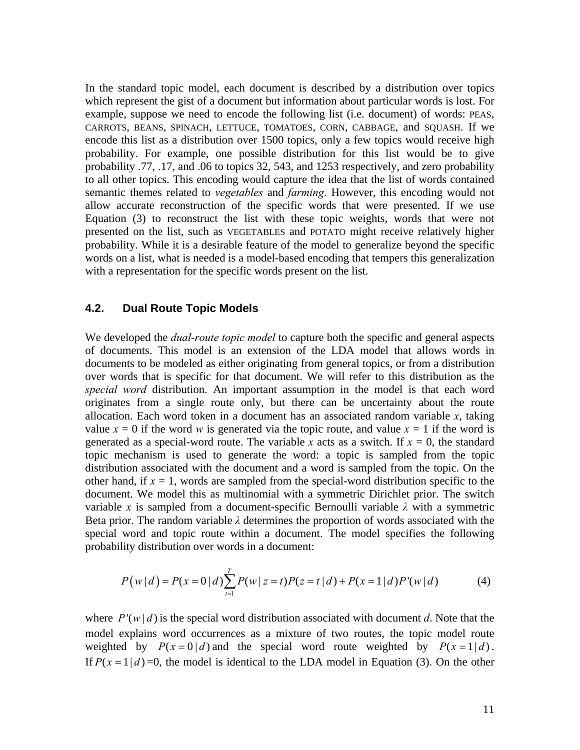In the standard topic model, each document is described by a distribution over topics which represent the gist of a document but information about particular words is lost. For example, suppose we need to encode the following list (i.e. document) of words: PEAS, CARROTS, BEANS, SPINACH, LETTUCE, TOMATOES, CORN, CABBAGE, and SQUASH. If we encode this list as a distribution over 1500 topics, only a few topics would receive high probability. For example, one possible distribution for this list would be to give probability .77, .17, and .06 to topics 32, 543, and 1253 respectively, and zero probability to all other topics. This encoding would capture the idea that the list of words contained semantic themes related to *vegetables* and *farming*. However, this encoding would not allow accurate reconstruction of the specific words that were presented. If we use Equation (3) to reconstruct the list with these topic weights, words that were not presented on the list, such as VEGETABLES and POTATO might receive relatively higher probability. While it is a desirable feature of the model to generalize beyond the specific words on a list, what is needed is a model-based encoding that tempers this generalization with a representation for the specific words present on the list.

#### **4.2. Dual Route Topic Models**

We developed the *dual-route topic model* to capture both the specific and general aspects of documents. This model is an extension of the LDA model that allows words in documents to be modeled as either originating from general topics, or from a distribution over words that is specific for that document. We will refer to this distribution as the *special word* distribution. An important assumption in the model is that each word originates from a single route only, but there can be uncertainty about the route allocation. Each word token in a document has an associated random variable *x*, taking value  $x = 0$  if the word *w* is generated via the topic route, and value  $x = 1$  if the word is generated as a special-word route. The variable *x* acts as a switch. If  $x = 0$ , the standard topic mechanism is used to generate the word: a topic is sampled from the topic distribution associated with the document and a word is sampled from the topic. On the other hand, if  $x = 1$ , words are sampled from the special-word distribution specific to the document. We model this as multinomial with a symmetric Dirichlet prior. The switch variable x is sampled from a document-specific Bernoulli variable  $\lambda$  with a symmetric Beta prior. The random variable *λ* determines the proportion of words associated with the special word and topic route within a document. The model specifies the following probability distribution over words in a document:

$$
P(w|d) = P(x=0|d) \sum_{t=1}^{T} P(w|z=t)P(z=t|d) + P(x=1|d)P'(w|d)
$$
 (4)

weighted by  $P(x=0|d)$  and the special word route weighted by  $P(x=1|d)$ . If  $P(x=1|d) = 0$ , the model is identical to the LDA model in Equation (3). On the other where  $P'(w | d)$  is the special word distribution associated with document *d*. Note that the model explains word occurrences as a mixture of two routes, the topic model route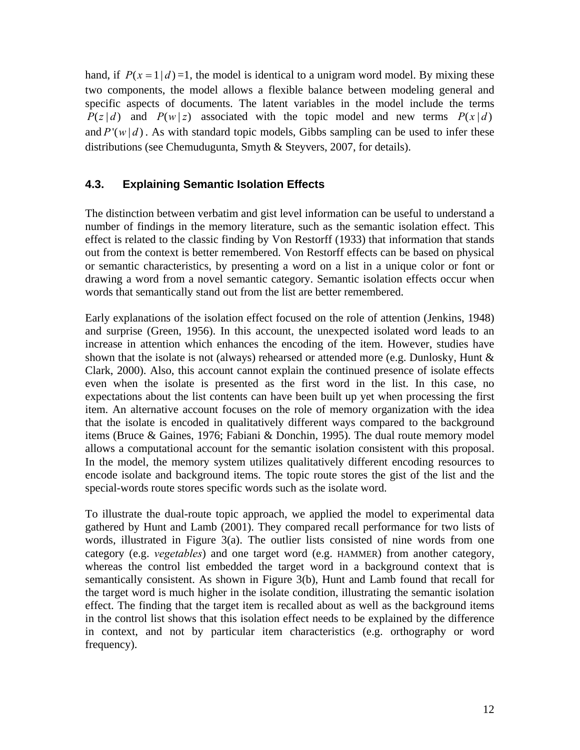hand, if  $P(x = 1 | d) = 1$ , the model is identical to a unigram word model. By mixing these two components, the model allows a flexible balance between modeling general and specific aspects of documents. The latent variables in the model include the terms  $P(z|d)$  and  $P(w|z)$  associated with the topic model and new terms  $P(x|d)$ and  $P'(w | d)$ . As with standard topic models, Gibbs sampling can be used to infer these distributions (see Chemudugunta, Smyth & Steyvers, 2007, for details).

#### **4.3. Explaining Semantic Isolation Effects**

The distinction between verbatim and gist level information can be useful to understand a number of findings in the memory literature, such as the semantic isolation effect. This effect is related to the classic finding by Von Restorff (1933) that information that stands out from the context is better remembered. Von Restorff effects can be based on physical or semantic characteristics, by presenting a word on a list in a unique color or font or drawing a word from a novel semantic category. Semantic isolation effects occur when words that semantically stand out from the list are better remembered.

Early explanations of the isolation effect focused on the role of attention (Jenkins, 1948) and surprise (Green, 1956). In this account, the unexpected isolated word leads to an increase in attention which enhances the encoding of the item. However, studies have shown that the isolate is not (always) rehearsed or attended more (e.g. Dunlosky, Hunt & Clark, 2000). Also, this account cannot explain the continued presence of isolate effects even when the isolate is presented as the first word in the list. In this case, no expectations about the list contents can have been built up yet when processing the first item. An alternative account focuses on the role of memory organization with the idea that the isolate is encoded in qualitatively different ways compared to the background items (Bruce & Gaines, 1976; Fabiani & Donchin, 1995). The dual route memory model allows a computational account for the semantic isolation consistent with this proposal. In the model, the memory system utilizes qualitatively different encoding resources to encode isolate and background items. The topic route stores the gist of the list and the special-words route stores specific words such as the isolate word.

To illustrate the dual-route topic approach, we applied the model to experimental data gathered by Hunt and Lamb (2001). They compared recall performance for two lists of words, illustrated in Figure 3(a). The outlier lists consisted of nine words from one category (e.g. *vegetables*) and one target word (e.g. HAMMER) from another category, whereas the control list embedded the target word in a background context that is semantically consistent. As shown in Figure 3(b), Hunt and Lamb found that recall for the target word is much higher in the isolate condition, illustrating the semantic isolation effect. The finding that the target item is recalled about as well as the background items in the control list shows that this isolation effect needs to be explained by the difference in context, and not by particular item characteristics (e.g. orthography or word frequency).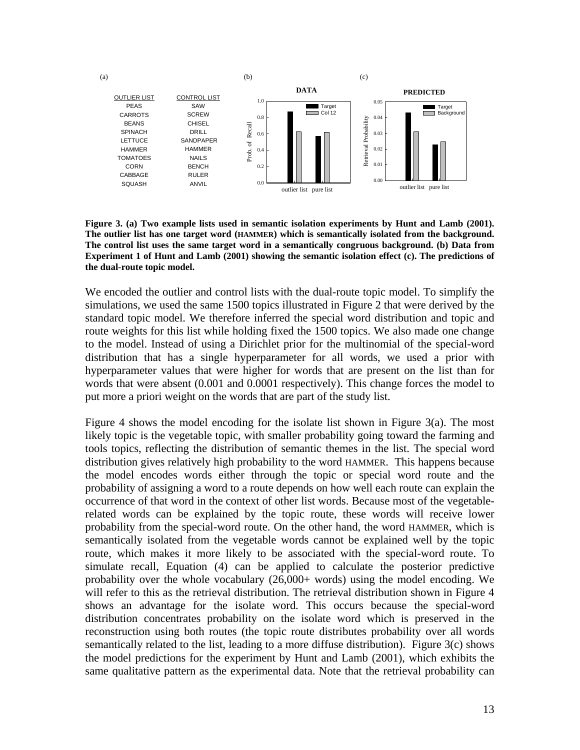

**Figure 3. (a) Two example lists used in semantic isolation experiments by Hunt and Lamb (2001). The outlier list has one target word (HAMMER) which is semantically isolated from the background. The control list uses the same target word in a semantically congruous background. (b) Data from Experiment 1 of Hunt and Lamb (2001) showing the semantic isolation effect (c). The predictions of the dual-route topic model.** 

We encoded the outlier and control lists with the dual-route topic model. To simplify the simulations, we used the same 1500 topics illustrated in Figure 2 that were derived by the standard topic model. We therefore inferred the special word distribution and topic and route weights for this list while holding fixed the 1500 topics. We also made one change to the model. Instead of using a Dirichlet prior for the multinomial of the special-word distribution that has a single hyperparameter for all words, we used a prior with hyperparameter values that were higher for words that are present on the list than for words that were absent (0.001 and 0.0001 respectively). This change forces the model to put more a priori weight on the words that are part of the study list.

Figure 4 shows the model encoding for the isolate list shown in Figure 3(a). The most likely topic is the vegetable topic, with smaller probability going toward the farming and tools topics, reflecting the distribution of semantic themes in the list. The special word distribution gives relatively high probability to the word HAMMER. This happens because the model encodes words either through the topic or special word route and the probability of assigning a word to a route depends on how well each route can explain the occurrence of that word in the context of other list words. Because most of the vegetablerelated words can be explained by the topic route, these words will receive lower probability from the special-word route. On the other hand, the word HAMMER, which is semantically isolated from the vegetable words cannot be explained well by the topic route, which makes it more likely to be associated with the special-word route. To simulate recall, Equation (4) can be applied to calculate the posterior predictive probability over the whole vocabulary (26,000+ words) using the model encoding. We will refer to this as the retrieval distribution. The retrieval distribution shown in Figure 4 shows an advantage for the isolate word. This occurs because the special-word distribution concentrates probability on the isolate word which is preserved in the reconstruction using both routes (the topic route distributes probability over all words semantically related to the list, leading to a more diffuse distribution). Figure  $3(c)$  shows the model predictions for the experiment by Hunt and Lamb (2001), which exhibits the same qualitative pattern as the experimental data. Note that the retrieval probability can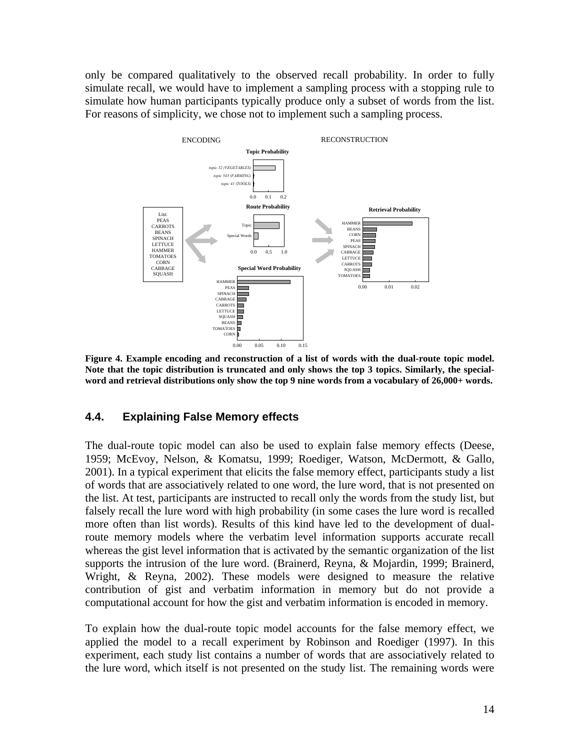only be compared qualitatively to the observed recall probability. In order to fully simulate recall, we would have to implement a sampling process with a stopping rule to simulate how human participants typically produce only a subset of words from the list. For reasons of simplicity, we chose not to implement such a sampling process.



**Figure 4. Example encoding and reconstruction of a list of words with the dual-route topic model. Note that the topic distribution is truncated and only shows the top 3 topics. Similarly, the specialword and retrieval distributions only show the top 9 nine words from a vocabulary of 26,000+ words.** 

#### **4.4. Explaining False Memory effects**

The dual-route topic model can also be used to explain false memory effects (Deese, 1959; McEvoy, Nelson, & Komatsu, 1999; Roediger, Watson, McDermott, & Gallo, 2001). In a typical experiment that elicits the false memory effect, participants study a list of words that are associatively related to one word, the lure word, that is not presented on the list. At test, participants are instructed to recall only the words from the study list, but falsely recall the lure word with high probability (in some cases the lure word is recalled more often than list words). Results of this kind have led to the development of dualroute memory models where the verbatim level information supports accurate recall whereas the gist level information that is activated by the semantic organization of the list supports the intrusion of the lure word. (Brainerd, Reyna, & Mojardin, 1999; Brainerd, Wright, & Reyna, 2002). These models were designed to measure the relative contribution of gist and verbatim information in memory but do not provide a computational account for how the gist and verbatim information is encoded in memory.

To explain how the dual-route topic model accounts for the false memory effect, we applied the model to a recall experiment by Robinson and Roediger (1997). In this experiment, each study list contains a number of words that are associatively related to the lure word, which itself is not presented on the study list. The remaining words were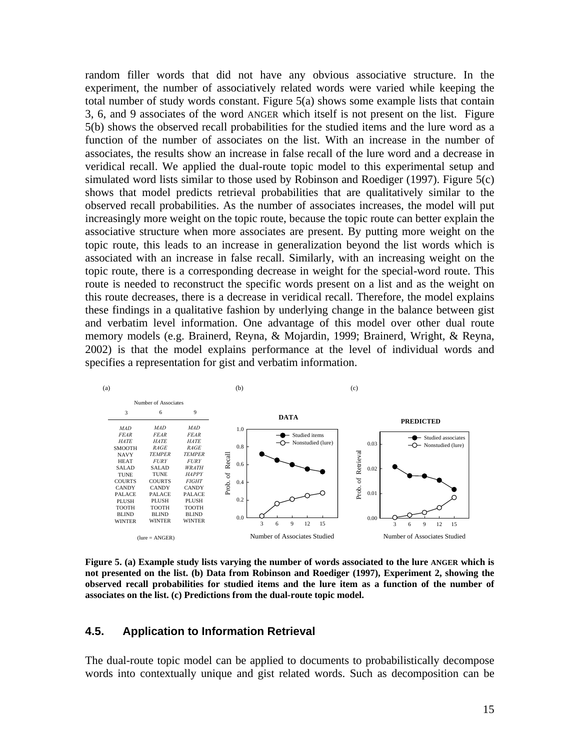random filler words that did not have any obvious associative structure. In the experiment, the number of associatively related words were varied while keeping the total number of study words constant. Figure 5(a) shows some example lists that contain 3, 6, and 9 associates of the word ANGER which itself is not present on the list. Figure 5(b) shows the observed recall probabilities for the studied items and the lure word as a function of the number of associates on the list. With an increase in the number of associates, the results show an increase in false recall of the lure word and a decrease in veridical recall. We applied the dual-route topic model to this experimental setup and simulated word lists similar to those used by Robinson and Roediger (1997). Figure 5(c) shows that model predicts retrieval probabilities that are qualitatively similar to the observed recall probabilities. As the number of associates increases, the model will put increasingly more weight on the topic route, because the topic route can better explain the associative structure when more associates are present. By putting more weight on the topic route, this leads to an increase in generalization beyond the list words which is associated with an increase in false recall. Similarly, with an increasing weight on the topic route, there is a corresponding decrease in weight for the special-word route. This route is needed to reconstruct the specific words present on a list and as the weight on this route decreases, there is a decrease in veridical recall. Therefore, the model explains these findings in a qualitative fashion by underlying change in the balance between gist and verbatim level information. One advantage of this model over other dual route memory models (e.g. Brainerd, Reyna, & Mojardin, 1999; Brainerd, Wright, & Reyna, 2002) is that the model explains performance at the level of individual words and specifies a representation for gist and verbatim information.



**Figure 5. (a) Example study lists varying the number of words associated to the lure ANGER which is not presented on the list. (b) Data from Robinson and Roediger (1997), Experiment 2, showing the observed recall probabilities for studied items and the lure item as a function of the number of associates on the list. (c) Predictions from the dual-route topic model.** 

#### **4.5. Application to Information Retrieval**

The dual-route topic model can be applied to documents to probabilistically decompose words into contextually unique and gist related words. Such as decomposition can be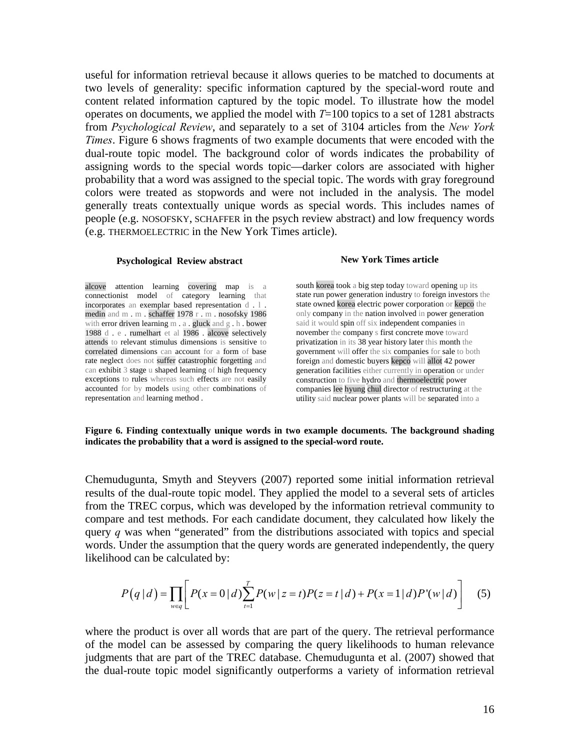useful for information retrieval because it allows queries to be matched to documents at two levels of generality: specific information captured by the special-word route and content related information captured by the topic model. To illustrate how the model operates on documents, we applied the model with  $T=100$  topics to a set of 1281 abstracts from *Psychological Review*, and separately to a set of 3104 articles from the *New York Times*. Figure 6 shows fragments of two example documents that were encoded with the dual-route topic model. The background color of words indicates the probability of assigning words to the special words topic—darker colors are associated with higher probability that a word was assigned to the special topic. The words with gray foreground colors were treated as stopwords and were not included in the analysis. The model generally treats contextually unique words as special words. This includes names of people (e.g. NOSOFSKY, SCHAFFER in the psych review abstract) and low frequency words (e.g. THERMOELECTRIC in the New York Times article).

#### **Psychological Review abstract New York Times article**

alcove attention learning covering map is a connectionist model of category learning that incorporates an exemplar based representation d . l . medin and m . m . schaffer 1978 r . m . nosofsky 1986 with error driven learning m . a . gluck and g . h . bower 1988 d . e . rumelhart et al 1986 . alcove selectively attends to relevant stimulus dimensions is sensitive to correlated dimensions can account for a form of base rate neglect does not suffer catastrophic forgetting and can exhibit 3 stage u shaped learning of high frequency exceptions to rules whereas such effects are not easily accounted for by models using other combinations of representation and learning method .

south korea took a big step today toward opening up its state run power generation industry to foreign investors the state owned korea electric power corporation or kepco the only company in the nation involved in power generation said it would spin off six independent companies in november the company s first concrete move toward privatization in its 38 year history later this month the government will offer the six companies for sale to both foreign and domestic buyers kepco will allot 42 power generation facilities either currently in operation or under construction to five hydro and thermoelectric power companies lee hyung chul director of restructuring at the utility said nuclear power plants will be separated into a

#### **Figure 6. Finding contextually unique words in two example documents. The background shading indicates the probability that a word is assigned to the special-word route.**

Chemudugunta, Smyth and Steyvers (2007) reported some initial information retrieval results of the dual-route topic model. They applied the model to a several sets of articles from the TREC corpus, which was developed by the information retrieval community to compare and test methods. For each candidate document, they calculated how likely the query *q* was when "generated" from the distributions associated with topics and special words. Under the assumption that the query words are generated independently, the query likelihood can be calculated by:

$$
P(q|d) = \prod_{w \in q} \left[ P(x=0|d) \sum_{t=1}^{T} P(w|z=t) P(z=t|d) + P(x=1|d) P'(w|d) \right] \tag{5}
$$

where the product is over all words that are part of the query. The retrieval performance of the model can be assessed by comparing the query likelihoods to human relevance judgments that are part of the TREC database. Chemudugunta et al. (2007) showed that the dual-route topic model significantly outperforms a variety of information retrieval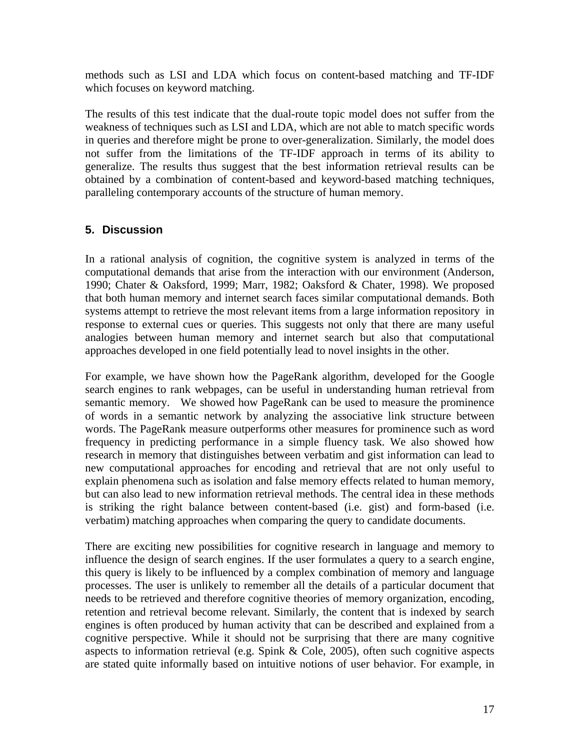methods such as LSI and LDA which focus on content-based matching and TF-IDF which focuses on keyword matching.

The results of this test indicate that the dual-route topic model does not suffer from the weakness of techniques such as LSI and LDA, which are not able to match specific words in queries and therefore might be prone to over-generalization. Similarly, the model does not suffer from the limitations of the TF-IDF approach in terms of its ability to generalize. The results thus suggest that the best information retrieval results can be obtained by a combination of content-based and keyword-based matching techniques, paralleling contemporary accounts of the structure of human memory.

### **5. Discussion**

In a rational analysis of cognition, the cognitive system is analyzed in terms of the computational demands that arise from the interaction with our environment (Anderson, 1990; Chater & Oaksford, 1999; Marr, 1982; Oaksford & Chater, 1998). We proposed that both human memory and internet search faces similar computational demands. Both systems attempt to retrieve the most relevant items from a large information repository in response to external cues or queries. This suggests not only that there are many useful analogies between human memory and internet search but also that computational approaches developed in one field potentially lead to novel insights in the other.

For example, we have shown how the PageRank algorithm, developed for the Google search engines to rank webpages, can be useful in understanding human retrieval from semantic memory. We showed how PageRank can be used to measure the prominence of words in a semantic network by analyzing the associative link structure between words. The PageRank measure outperforms other measures for prominence such as word frequency in predicting performance in a simple fluency task. We also showed how research in memory that distinguishes between verbatim and gist information can lead to new computational approaches for encoding and retrieval that are not only useful to explain phenomena such as isolation and false memory effects related to human memory, but can also lead to new information retrieval methods. The central idea in these methods is striking the right balance between content-based (i.e. gist) and form-based (i.e. verbatim) matching approaches when comparing the query to candidate documents.

There are exciting new possibilities for cognitive research in language and memory to influence the design of search engines. If the user formulates a query to a search engine, this query is likely to be influenced by a complex combination of memory and language processes. The user is unlikely to remember all the details of a particular document that needs to be retrieved and therefore cognitive theories of memory organization, encoding, retention and retrieval become relevant. Similarly, the content that is indexed by search engines is often produced by human activity that can be described and explained from a cognitive perspective. While it should not be surprising that there are many cognitive aspects to information retrieval (e.g. Spink & Cole, 2005), often such cognitive aspects are stated quite informally based on intuitive notions of user behavior. For example, in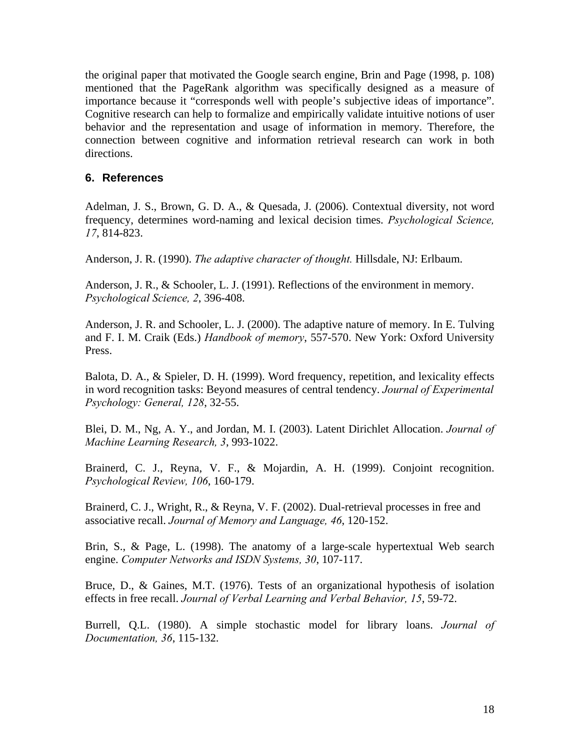the original paper that motivated the Google search engine, Brin and Page (1998, p. 108) mentioned that the PageRank algorithm was specifically designed as a measure of importance because it "corresponds well with people's subjective ideas of importance". Cognitive research can help to formalize and empirically validate intuitive notions of user behavior and the representation and usage of information in memory. Therefore, the connection between cognitive and information retrieval research can work in both directions.

#### **6. References**

Adelman, J. S., Brown, G. D. A., & Quesada, J. (2006). Contextual diversity, not word frequency, determines word-naming and lexical decision times. *Psychological Science, 17*, 814-823.

Anderson, J. R. (1990). *The adaptive character of thought.* Hillsdale, NJ: Erlbaum.

Anderson, J. R., & Schooler, L. J. (1991). Reflections of the environment in memory. *Psychological Science, 2*, 396-408.

Anderson, J. R. and Schooler, L. J. (2000). The adaptive nature of memory. In E. Tulving and F. I. M. Craik (Eds.) *Handbook of memory*, 557-570. New York: Oxford University Press.

Balota, D. A., & Spieler, D. H. (1999). Word frequency, repetition, and lexicality effects in word recognition tasks: Beyond measures of central tendency. *Journal of Experimental Psychology: General, 128*, 32-55.

Blei, D. M., Ng, A. Y., and Jordan, M. I. (2003). Latent Dirichlet Allocation. *Journal of Machine Learning Research, 3*, 993-1022.

Brainerd, C. J., Reyna, V. F., & Mojardin, A. H. (1999). Conjoint recognition. *Psychological Review, 106*, 160-179.

Brainerd, C. J., Wright, R., & Reyna, V. F. (2002). Dual-retrieval processes in free and associative recall. *Journal of Memory and Language, 46*, 120-152.

Brin, S., & Page, L. (1998). The anatomy of a large-scale hypertextual Web search engine. *Computer Networks and ISDN Systems, 30*, 107-117.

Bruce, D., & Gaines, M.T. (1976). Tests of an organizational hypothesis of isolation effects in free recall. *Journal of Verbal Learning and Verbal Behavior, 15*, 59-72.

Burrell, Q.L. (1980). A simple stochastic model for library loans. *Journal of Documentation, 36*, 115-132.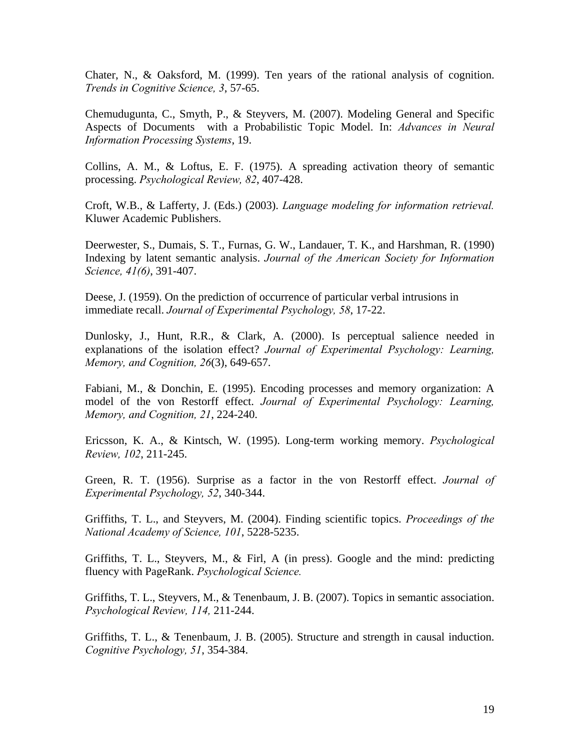Chater, N., & Oaksford, M. (1999). Ten years of the rational analysis of cognition. *Trends in Cognitive Science, 3*, 57-65.

Chemudugunta, C., Smyth, P., & Steyvers, M. (2007). Modeling General and Specific Aspects of Documents with a Probabilistic Topic Model. In: *Advances in Neural Information Processing Systems*, 19.

Collins, A. M., & Loftus, E. F. (1975). A spreading activation theory of semantic processing. *Psychological Review, 82*, 407-428.

Croft, W.B., & Lafferty, J. (Eds.) (2003). *Language modeling for information retrieval.* Kluwer Academic Publishers.

Deerwester, S., Dumais, S. T., Furnas, G. W., Landauer, T. K., and Harshman, R. (1990) Indexing by latent semantic analysis. *Journal of the American Society for Information Science, 41(6)*, 391-407.

Deese, J. (1959). On the prediction of occurrence of particular verbal intrusions in immediate recall. *Journal of Experimental Psychology, 58*, 17-22.

Dunlosky, J., Hunt, R.R., & Clark, A. (2000). Is perceptual salience needed in explanations of the isolation effect? *Journal of Experimental Psychology: Learning, Memory, and Cognition, 26*(3), 649-657.

Fabiani, M., & Donchin, E. (1995). Encoding processes and memory organization: A model of the von Restorff effect. *Journal of Experimental Psychology: Learning, Memory, and Cognition, 21*, 224-240.

Ericsson, K. A., & Kintsch, W. (1995). Long-term working memory. *Psychological Review, 102*, 211-245.

Green, R. T. (1956). Surprise as a factor in the von Restorff effect. *Journal of Experimental Psychology, 52*, 340-344.

Griffiths, T. L., and Steyvers, M. (2004). Finding scientific topics. *Proceedings of the National Academy of Science, 101*, 5228-5235.

Griffiths, T. L., Steyvers, M., & Firl, A (in press). Google and the mind: predicting fluency with PageRank. *Psychological Science.*

Griffiths, T. L., Steyvers, M., & Tenenbaum, J. B. (2007). Topics in semantic association. *Psychological Review, 114,* 211-244.

Griffiths, T. L., & Tenenbaum, J. B. (2005). Structure and strength in causal induction. *Cognitive Psychology, 51*, 354-384.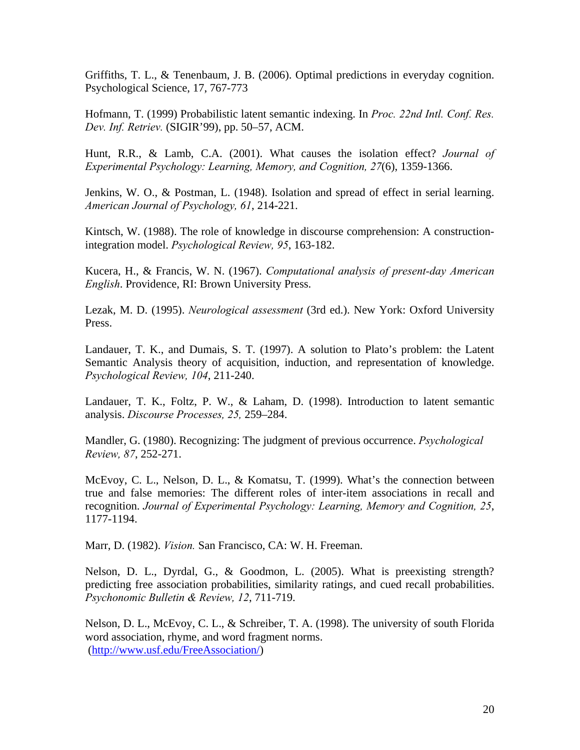Griffiths, T. L., & Tenenbaum, J. B. (2006). Optimal predictions in everyday cognition. Psychological Science, 17, 767-773

Hofmann, T. (1999) Probabilistic latent semantic indexing. In *Proc. 22nd Intl. Conf. Res. Dev. Inf. Retriev.* (SIGIR'99), pp. 50–57, ACM.

Hunt, R.R., & Lamb, C.A. (2001). What causes the isolation effect? *Journal of Experimental Psychology: Learning, Memory, and Cognition, 27*(6), 1359-1366.

Jenkins, W. O., & Postman, L. (1948). Isolation and spread of effect in serial learning. *American Journal of Psychology, 61*, 214-221.

Kintsch, W. (1988). The role of knowledge in discourse comprehension: A constructionintegration model. *Psychological Review, 95*, 163-182.

Kucera, H., & Francis, W. N. (1967). *Computational analysis of present-day American English*. Providence, RI: Brown University Press.

Lezak, M. D. (1995). *Neurological assessment* (3rd ed.). New York: Oxford University Press.

Landauer, T. K., and Dumais, S. T. (1997). A solution to Plato's problem: the Latent Semantic Analysis theory of acquisition, induction, and representation of knowledge. *Psychological Review, 104*, 211-240.

Landauer, T. K., Foltz, P. W., & Laham, D. (1998). Introduction to latent semantic analysis. *Discourse Processes, 25,* 259–284.

Mandler, G. (1980). Recognizing: The judgment of previous occurrence. *Psychological Review, 87*, 252-271.

McEvoy, C. L., Nelson, D. L., & Komatsu, T. (1999). What's the connection between true and false memories: The different roles of inter-item associations in recall and recognition. *Journal of Experimental Psychology: Learning, Memory and Cognition, 25*, 1177-1194.

Marr, D. (1982). *Vision.* San Francisco, CA: W. H. Freeman.

Nelson, D. L., Dyrdal, G., & Goodmon, L. (2005). What is preexisting strength? predicting free association probabilities, similarity ratings, and cued recall probabilities. *Psychonomic Bulletin & Review, 12*, 711-719.

Nelson, D. L., McEvoy, C. L., & Schreiber, T. A. (1998). The university of south Florida word association, rhyme, and word fragment norms. [\(http://www.usf.edu/FreeAssociation/](http://www.usf.edu/FreeAssociation/))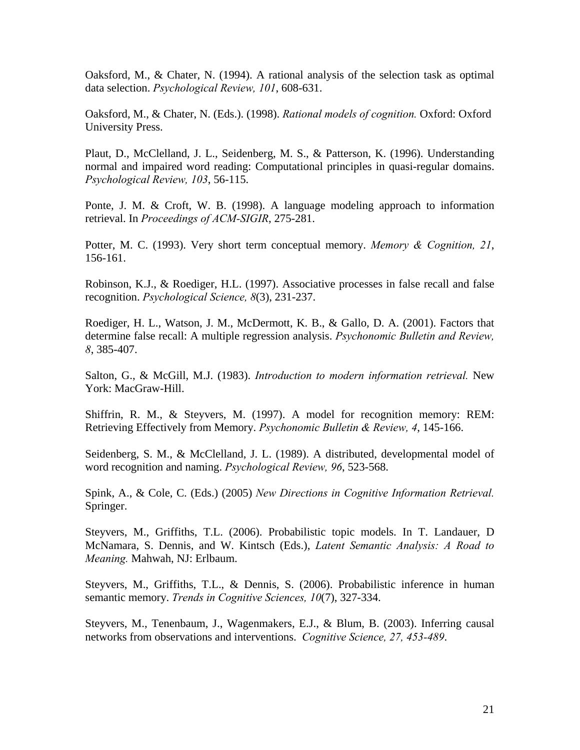Oaksford, M., & Chater, N. (1994). A rational analysis of the selection task as optimal data selection. *Psychological Review, 101*, 608-631.

Oaksford, M., & Chater, N. (Eds.). (1998). *Rational models of cognition.* Oxford: Oxford University Press.

Plaut, D., McClelland, J. L., Seidenberg, M. S., & Patterson, K. (1996). Understanding normal and impaired word reading: Computational principles in quasi-regular domains. *Psychological Review, 103*, 56-115.

Ponte, J. M. & Croft, W. B. (1998). A language modeling approach to information retrieval. In *Proceedings of ACM-SIGIR*, 275-281.

Potter, M. C. (1993). Very short term conceptual memory. *Memory & Cognition, 21*, 156-161.

Robinson, K.J., & Roediger, H.L. (1997). Associative processes in false recall and false recognition. *Psychological Science, 8*(3), 231-237.

Roediger, H. L., Watson, J. M., McDermott, K. B., & Gallo, D. A. (2001). Factors that determine false recall: A multiple regression analysis. *Psychonomic Bulletin and Review, 8*, 385-407.

Salton, G., & McGill, M.J. (1983). *Introduction to modern information retrieval.* New York: MacGraw-Hill.

Shiffrin, R. M., & Steyvers, M. (1997). A model for recognition memory: REM: Retrieving Effectively from Memory. *Psychonomic Bulletin & Review, 4*, 145-166.

Seidenberg, S. M., & McClelland, J. L. (1989). A distributed, developmental model of word recognition and naming. *Psychological Review, 96*, 523-568.

Spink, A., & Cole, C. (Eds.) (2005) *New Directions in Cognitive Information Retrieval.* Springer.

Steyvers, M., Griffiths, T.L. (2006). Probabilistic topic models. In T. Landauer, D McNamara, S. Dennis, and W. Kintsch (Eds.), *Latent Semantic Analysis: A Road to Meaning.* Mahwah, NJ: Erlbaum.

Steyvers, M., Griffiths, T.L., & Dennis, S. (2006). Probabilistic inference in human semantic memory. *Trends in Cognitive Sciences, 10*(7), 327-334.

Steyvers, M., Tenenbaum, J., Wagenmakers, E.J., & Blum, B. (2003). Inferring causal networks from observations and interventions. *Cognitive Science, 27, 453-489*.